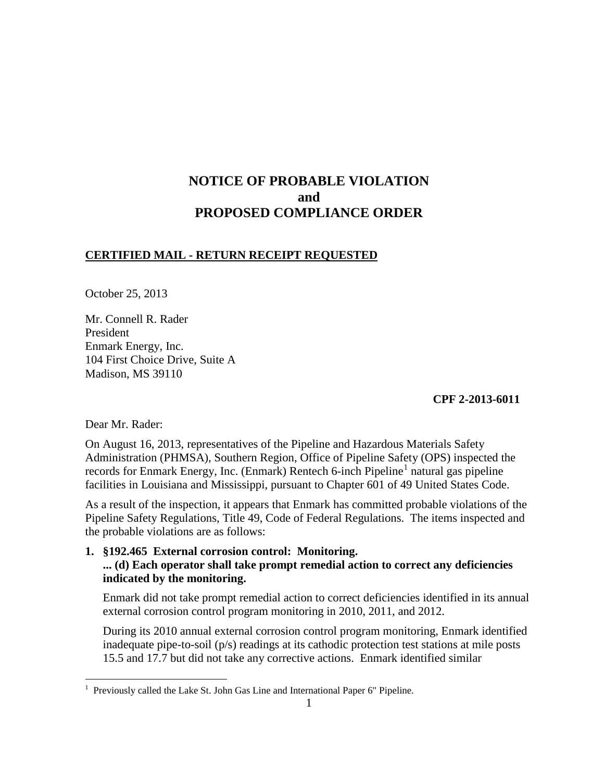# **NOTICE OF PROBABLE VIOLATION and PROPOSED COMPLIANCE ORDER**

## **CERTIFIED MAIL - RETURN RECEIPT REQUESTED**

October 25, 2013

Mr. Connell R. Rader President Enmark Energy, Inc. 104 First Choice Drive, Suite A Madison, MS 39110

### **CPF 2-2013-6011**

Dear Mr. Rader:

On August 16, 2013, representatives of the Pipeline and Hazardous Materials Safety Administration (PHMSA), Southern Region, Office of Pipeline Safety (OPS) inspected the records for Enmark Energy, Inc. (Enmark) Rentech 6-inch Pipeline<sup>1</sup> natural gas pipeline facilities in Louisiana and Mississippi, pursuant to Chapter 601 of 49 United States Code.

As a result of the inspection, it appears that Enmark has committed probable violations of the Pipeline Safety Regulations, Title 49, Code of Federal Regulations. The items inspected and the probable violations are as follows:

**1. §192.465 External corrosion control: Monitoring.** 

## **... (d) Each operator shall take prompt remedial action to correct any deficiencies indicated by the monitoring.**

Enmark did not take prompt remedial action to correct deficiencies identified in its annual external corrosion control program monitoring in 2010, 2011, and 2012.

During its 2010 annual external corrosion control program monitoring, Enmark identified inadequate pipe-to-soil (p/s) readings at its cathodic protection test stations at mile posts 15.5 and 17.7 but did not take any corrective actions. Enmark identified similar

 1 Previously called the Lake St. John Gas Line and International Paper 6" Pipeline.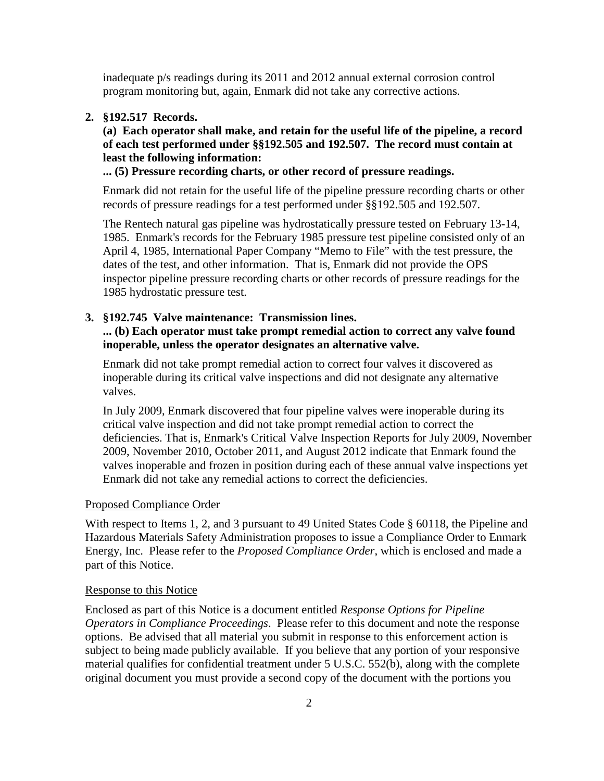inadequate p/s readings during its 2011 and 2012 annual external corrosion control program monitoring but, again, Enmark did not take any corrective actions.

#### **2. §192.517 Records.**

**(a) Each operator shall make, and retain for the useful life of the pipeline, a record of each test performed under §§192.505 and 192.507. The record must contain at least the following information:** 

#### **... (5) Pressure recording charts, or other record of pressure readings.**

Enmark did not retain for the useful life of the pipeline pressure recording charts or other records of pressure readings for a test performed under §§192.505 and 192.507.

The Rentech natural gas pipeline was hydrostatically pressure tested on February 13-14, 1985. Enmark's records for the February 1985 pressure test pipeline consisted only of an April 4, 1985, International Paper Company "Memo to File" with the test pressure, the dates of the test, and other information. That is, Enmark did not provide the OPS inspector pipeline pressure recording charts or other records of pressure readings for the 1985 hydrostatic pressure test.

#### **3. §192.745 Valve maintenance: Transmission lines.**

### **... (b) Each operator must take prompt remedial action to correct any valve found inoperable, unless the operator designates an alternative valve.**

Enmark did not take prompt remedial action to correct four valves it discovered as inoperable during its critical valve inspections and did not designate any alternative valves.

In July 2009, Enmark discovered that four pipeline valves were inoperable during its critical valve inspection and did not take prompt remedial action to correct the deficiencies. That is, Enmark's Critical Valve Inspection Reports for July 2009, November 2009, November 2010, October 2011, and August 2012 indicate that Enmark found the valves inoperable and frozen in position during each of these annual valve inspections yet Enmark did not take any remedial actions to correct the deficiencies.

#### Proposed Compliance Order

With respect to Items 1, 2, and 3 pursuant to 49 United States Code § 60118, the Pipeline and Hazardous Materials Safety Administration proposes to issue a Compliance Order to Enmark Energy, Inc. Please refer to the *Proposed Compliance Order*, which is enclosed and made a part of this Notice.

#### Response to this Notice

Enclosed as part of this Notice is a document entitled *Response Options for Pipeline Operators in Compliance Proceedings*. Please refer to this document and note the response options. Be advised that all material you submit in response to this enforcement action is subject to being made publicly available. If you believe that any portion of your responsive material qualifies for confidential treatment under 5 U.S.C. 552(b), along with the complete original document you must provide a second copy of the document with the portions you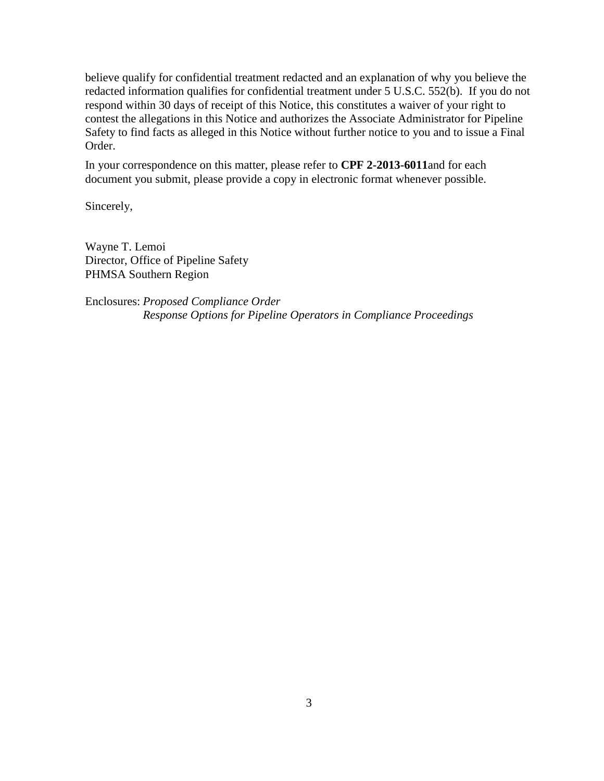believe qualify for confidential treatment redacted and an explanation of why you believe the redacted information qualifies for confidential treatment under 5 U.S.C. 552(b). If you do not respond within 30 days of receipt of this Notice, this constitutes a waiver of your right to contest the allegations in this Notice and authorizes the Associate Administrator for Pipeline Safety to find facts as alleged in this Notice without further notice to you and to issue a Final Order.

In your correspondence on this matter, please refer to **CPF 2-2013-6011**and for each document you submit, please provide a copy in electronic format whenever possible.

Sincerely,

Wayne T. Lemoi Director, Office of Pipeline Safety PHMSA Southern Region

Enclosures: *Proposed Compliance Order Response Options for Pipeline Operators in Compliance Proceedings*